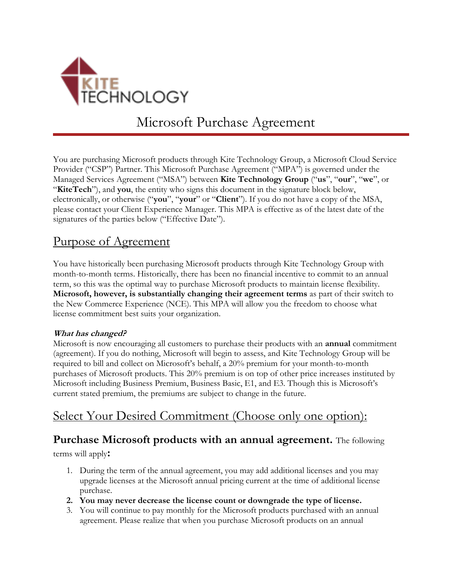

Microsoft Purchase Agreement

You are purchasing Microsoft products through Kite Technology Group, a Microsoft Cloud Service Provider ("CSP") Partner. This Microsoft Purchase Agreement ("MPA") is governed under the Managed Services Agreement ("MSA") between **Kite Technology Group** ("**us**", "**our**", "**we**", or "**KiteTech**"), and **you**, the entity who signs this document in the signature block below, electronically, or otherwise ("**you**", "**your**" or "**Client**"). If you do not have a copy of the MSA, please contact your Client Experience Manager. This MPA is effective as of the latest date of the signatures of the parties below ("Effective Date").

## Purpose of Agreement

You have historically been purchasing Microsoft products through Kite Technology Group with month-to-month terms. Historically, there has been no financial incentive to commit to an annual term, so this was the optimal way to purchase Microsoft products to maintain license flexibility. **Microsoft, however, is substantially changing their agreement terms** as part of their switch to the New Commerce Experience (NCE). This MPA will allow you the freedom to choose what license commitment best suits your organization.

#### **What has changed?**

Microsoft is now encouraging all customers to purchase their products with an **annual** commitment (agreement). If you do nothing, Microsoft will begin to assess, and Kite Technology Group will be required to bill and collect on Microsoft's behalf, a 20% premium for your month-to-month purchases of Microsoft products. This 20% premium is on top of other price increases instituted by Microsoft including Business Premium, Business Basic, E1, and E3. Though this is Microsoft's current stated premium, the premiums are subject to change in the future.

# Select Your Desired Commitment (Choose only one option):

### **Purchase Microsoft products with an annual agreement.** The following

terms will apply**:**

- 1. During the term of the annual agreement, you may add additional licenses and you may upgrade licenses at the Microsoft annual pricing current at the time of additional license purchase.
- **2. You may never decrease the license count or downgrade the type of license.**
- 3. You will continue to pay monthly for the Microsoft products purchased with an annual agreement. Please realize that when you purchase Microsoft products on an annual